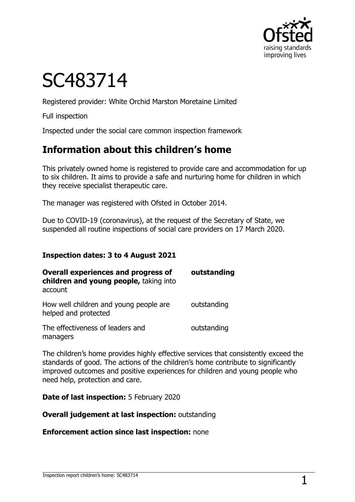

# SC483714

Registered provider: White Orchid Marston Moretaine Limited

Full inspection

Inspected under the social care common inspection framework

## **Information about this children's home**

This privately owned home is registered to provide care and accommodation for up to six children. It aims to provide a safe and nurturing home for children in which they receive specialist therapeutic care.

The manager was registered with Ofsted in October 2014.

Due to COVID-19 (coronavirus), at the request of the Secretary of State, we suspended all routine inspections of social care providers on 17 March 2020.

#### **Inspection dates: 3 to 4 August 2021**

| <b>Overall experiences and progress of</b><br>children and young people, taking into<br>account | outstanding |
|-------------------------------------------------------------------------------------------------|-------------|
| How well children and young people are<br>helped and protected                                  | outstanding |
| The effectiveness of leaders and<br>managers                                                    | outstanding |

The children's home provides highly effective services that consistently exceed the standards of good. The actions of the children's home contribute to significantly improved outcomes and positive experiences for children and young people who need help, protection and care.

**Date of last inspection:** 5 February 2020

**Overall judgement at last inspection:** outstanding

**Enforcement action since last inspection:** none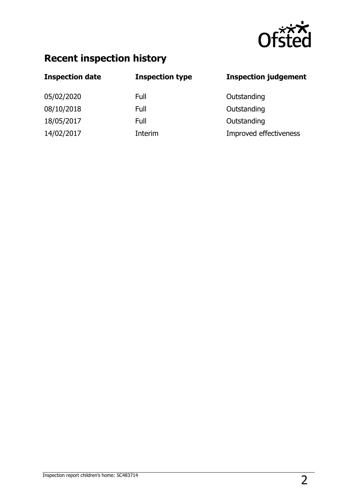

## **Recent inspection history**

| <b>Inspection date</b> | <b>Inspection type</b> | <b>Inspection judgement</b> |
|------------------------|------------------------|-----------------------------|
| 05/02/2020             | Full                   | Outstanding                 |
| 08/10/2018             | Full                   | Outstanding                 |
| 18/05/2017             | Full                   | Outstanding                 |
| 14/02/2017             | Interim                | Improved effectiveness      |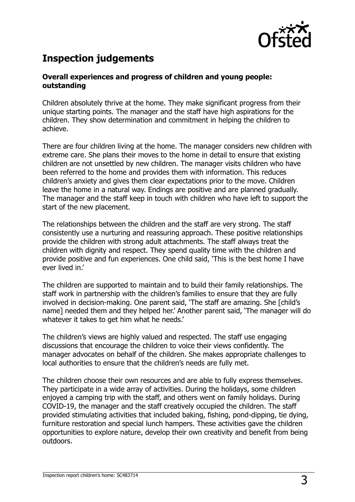

## **Inspection judgements**

#### **Overall experiences and progress of children and young people: outstanding**

Children absolutely thrive at the home. They make significant progress from their unique starting points. The manager and the staff have high aspirations for the children. They show determination and commitment in helping the children to achieve.

There are four children living at the home. The manager considers new children with extreme care. She plans their moves to the home in detail to ensure that existing children are not unsettled by new children. The manager visits children who have been referred to the home and provides them with information. This reduces children's anxiety and gives them clear expectations prior to the move. Children leave the home in a natural way. Endings are positive and are planned gradually. The manager and the staff keep in touch with children who have left to support the start of the new placement.

The relationships between the children and the staff are very strong. The staff consistently use a nurturing and reassuring approach. These positive relationships provide the children with strong adult attachments. The staff always treat the children with dignity and respect. They spend quality time with the children and provide positive and fun experiences. One child said, 'This is the best home I have ever lived in.'

The children are supported to maintain and to build their family relationships. The staff work in partnership with the children's families to ensure that they are fully involved in decision-making. One parent said, 'The staff are amazing. She [child's name] needed them and they helped her.' Another parent said, 'The manager will do whatever it takes to get him what he needs.'

The children's views are highly valued and respected. The staff use engaging discussions that encourage the children to voice their views confidently. The manager advocates on behalf of the children. She makes appropriate challenges to local authorities to ensure that the children's needs are fully met.

The children choose their own resources and are able to fully express themselves. They participate in a wide array of activities. During the holidays, some children enjoyed a camping trip with the staff, and others went on family holidays. During COVID-19, the manager and the staff creatively occupied the children. The staff provided stimulating activities that included baking, fishing, pond-dipping, tie dying, furniture restoration and special lunch hampers. These activities gave the children opportunities to explore nature, develop their own creativity and benefit from being outdoors.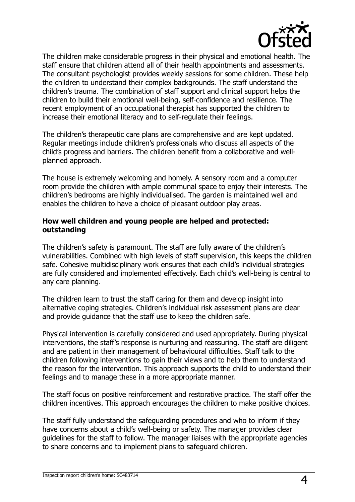

The children make considerable progress in their physical and emotional health. The staff ensure that children attend all of their health appointments and assessments. The consultant psychologist provides weekly sessions for some children. These help the children to understand their complex backgrounds. The staff understand the children's trauma. The combination of staff support and clinical support helps the children to build their emotional well-being, self-confidence and resilience. The recent employment of an occupational therapist has supported the children to increase their emotional literacy and to self-regulate their feelings.

The children's therapeutic care plans are comprehensive and are kept updated. Regular meetings include children's professionals who discuss all aspects of the child's progress and barriers. The children benefit from a collaborative and wellplanned approach.

The house is extremely welcoming and homely. A sensory room and a computer room provide the children with ample communal space to enjoy their interests. The children's bedrooms are highly individualised. The garden is maintained well and enables the children to have a choice of pleasant outdoor play areas.

#### **How well children and young people are helped and protected: outstanding**

The children's safety is paramount. The staff are fully aware of the children's vulnerabilities. Combined with high levels of staff supervision, this keeps the children safe. Cohesive multidisciplinary work ensures that each child's individual strategies are fully considered and implemented effectively. Each child's well-being is central to any care planning.

The children learn to trust the staff caring for them and develop insight into alternative coping strategies. Children's individual risk assessment plans are clear and provide guidance that the staff use to keep the children safe.

Physical intervention is carefully considered and used appropriately. During physical interventions, the staff's response is nurturing and reassuring. The staff are diligent and are patient in their management of behavioural difficulties. Staff talk to the children following interventions to gain their views and to help them to understand the reason for the intervention. This approach supports the child to understand their feelings and to manage these in a more appropriate manner.

The staff focus on positive reinforcement and restorative practice. The staff offer the children incentives. This approach encourages the children to make positive choices.

The staff fully understand the safeguarding procedures and who to inform if they have concerns about a child's well-being or safety. The manager provides clear guidelines for the staff to follow. The manager liaises with the appropriate agencies to share concerns and to implement plans to safeguard children.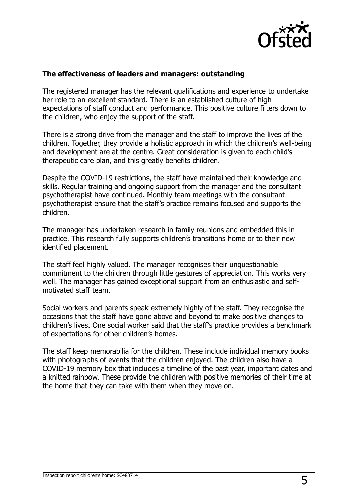

#### **The effectiveness of leaders and managers: outstanding**

The registered manager has the relevant qualifications and experience to undertake her role to an excellent standard. There is an established culture of high expectations of staff conduct and performance. This positive culture filters down to the children, who enjoy the support of the staff.

There is a strong drive from the manager and the staff to improve the lives of the children. Together, they provide a holistic approach in which the children's well-being and development are at the centre. Great consideration is given to each child's therapeutic care plan, and this greatly benefits children.

Despite the COVID-19 restrictions, the staff have maintained their knowledge and skills. Regular training and ongoing support from the manager and the consultant psychotherapist have continued. Monthly team meetings with the consultant psychotherapist ensure that the staff's practice remains focused and supports the children.

The manager has undertaken research in family reunions and embedded this in practice. This research fully supports children's transitions home or to their new identified placement.

The staff feel highly valued. The manager recognises their unquestionable commitment to the children through little gestures of appreciation. This works very well. The manager has gained exceptional support from an enthusiastic and selfmotivated staff team.

Social workers and parents speak extremely highly of the staff. They recognise the occasions that the staff have gone above and beyond to make positive changes to children's lives. One social worker said that the staff's practice provides a benchmark of expectations for other children's homes.

The staff keep memorabilia for the children. These include individual memory books with photographs of events that the children enjoyed. The children also have a COVID-19 memory box that includes a timeline of the past year, important dates and a knitted rainbow. These provide the children with positive memories of their time at the home that they can take with them when they move on.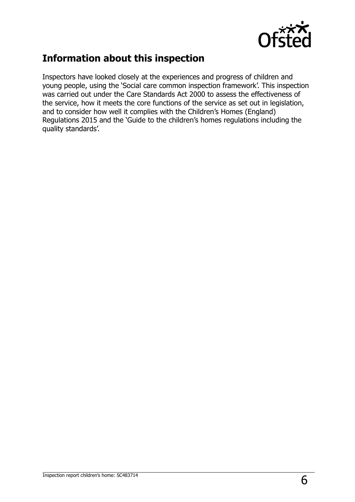

## **Information about this inspection**

Inspectors have looked closely at the experiences and progress of children and young people, using the 'Social care common inspection framework'. This inspection was carried out under the Care Standards Act 2000 to assess the effectiveness of the service, how it meets the core functions of the service as set out in legislation, and to consider how well it complies with the Children's Homes (England) Regulations 2015 and the 'Guide to the children's homes regulations including the quality standards'.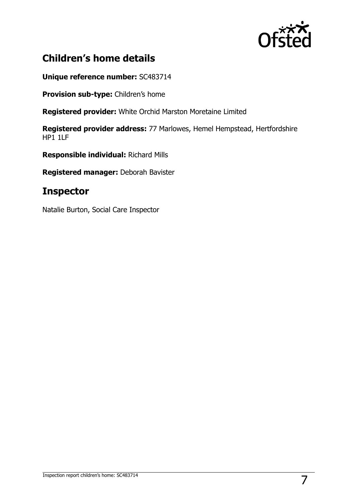

## **Children's home details**

**Unique reference number:** SC483714

**Provision sub-type:** Children's home

**Registered provider:** White Orchid Marston Moretaine Limited

**Registered provider address:** 77 Marlowes, Hemel Hempstead, Hertfordshire  $HP11IF$ 

**Responsible individual:** Richard Mills

**Registered manager:** Deborah Bavister

### **Inspector**

Natalie Burton, Social Care Inspector